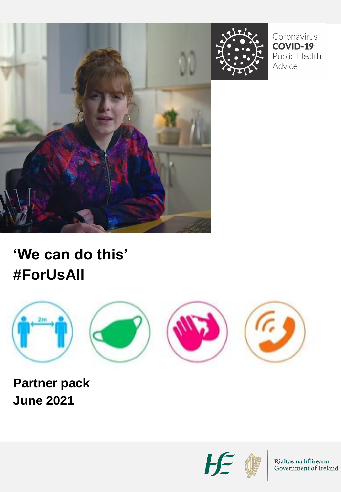



Coronavirus **COVID-19** Public Health Advice

### **'We can do this' #ForUsAll**



**Partner pack June 2021**



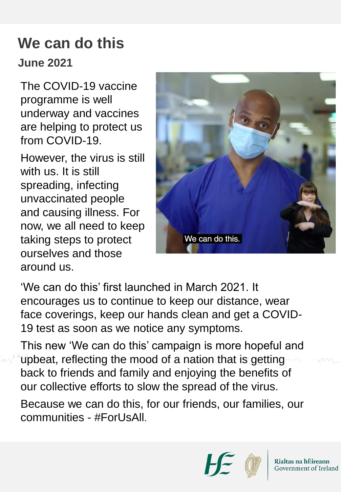# **We can do this**

### **June 2021**

The COVID-19 vaccine programme is well underway and vaccines are helping to protect us from COVID-19.

However, the virus is still with us. It is still spreading, infecting unvaccinated people and causing illness. For now, we all need to keep taking steps to protect ourselves and those around us.



'We can do this' first launched in March 2021. It encourages us to continue to keep our distance, wear face coverings, keep our hands clean and get a COVID-19 test as soon as we notice any symptoms.

This new 'We can do this' campaign is more hopeful and upbeat, reflecting the mood of a nation that is getting back to friends and family and enjoying the benefits of our collective efforts to slow the spread of the virus.

Because we can do this, for our friends, our families, our communities - #ForUsAll.

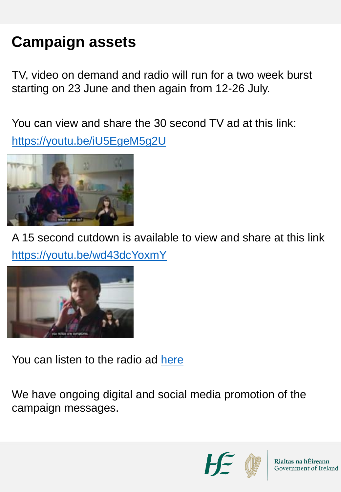# **Campaign assets**

TV, video on demand and radio will run for a two week burst starting on 23 June and then again from 12-26 July.

You can view and share the 30 second TV ad at this link: <https://youtu.be/iU5EgeM5g2U>



A 15 second cutdown is available to view and share at this link <https://youtu.be/wd43dcYoxmY>



You can listen to the radio ad [here](https://soundcloud.com/hseireland/hse-we-can-do-this-20sec-radio-16-06-21)

We have ongoing digital and social media promotion of the campaign messages.



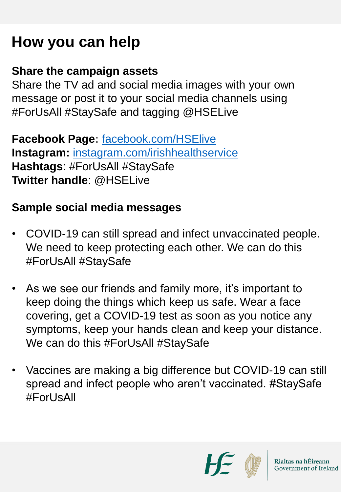### **How you can help**

#### **Share the campaign assets**

Share the TV ad and social media images with your own message or post it to your social media channels using #ForUsAll #StaySafe and tagging @HSELive

**Facebook Page:** [facebook.com/HSElive](https://www.facebook.com/HSElive/) **Instagram:** [instagram.com/irishhealthservice](https://www.instagram.com/irishhealthservice) **Hashtags**: #ForUsAll #StaySafe **Twitter handle**: @HSELive

### **Sample social media messages**

- COVID-19 can still spread and infect unvaccinated people. We need to keep protecting each other. We can do this #ForUsAll #StaySafe
- As we see our friends and family more, it's important to keep doing the things which keep us safe. Wear a face covering, get a COVID-19 test as soon as you notice any symptoms, keep your hands clean and keep your distance. We can do this #ForUsAll #StaySafe
- Vaccines are making a big difference but COVID-19 can still spread and infect people who aren't vaccinated. #StaySafe #Forl IsAll

 $H$